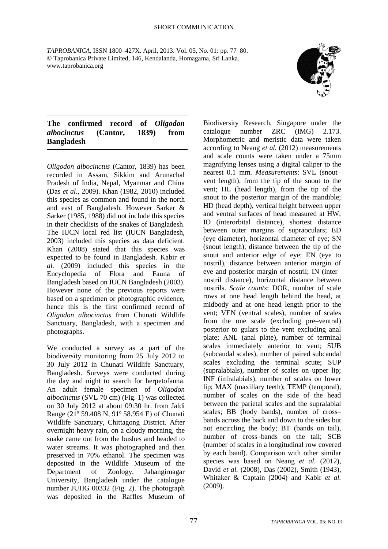*TAPROBANICA*, ISSN 1800–427X. April, 2013. Vol. 05, No. 01: pp. 77–80. © Taprobanica Private Limited, 146, Kendalanda, Homagama, Sri Lanka. www.taprobanica.org



## **The confirmed record of** *Oligodon albocinctus* **(Cantor, 1839) from Bangladesh**

*Oligodon albocinctus* (Cantor, 1839) has been recorded in Assam, Sikkim and Arunachal Pradesh of India, Nepal, Myanmar and China (Das *et al.*, 2009). Khan (1982, 2010) included this species as common and found in the north and east of Bangladesh. However Sarker & Sarker (1985, 1988) did not include this species in their checklists of the snakes of Bangladesh. The IUCN local red list (IUCN Bangladesh, 2003) included this species as data deficient. Khan (2008) stated that this species was expected to be found in Bangladesh. Kabir *et al.* (2009) included this species in the Encyclopedia of Flora and Fauna of Bangladesh based on IUCN Bangladesh (2003). However none of the previous reports were based on a specimen or photographic evidence, hence this is the first confirmed record of *Oligodon albocinctus* from Chunati Wildlife Sanctuary, Bangladesh, with a specimen and photographs.

We conducted a survey as a part of the biodiversity monitoring from 25 July 2012 to 30 July 2012 in Chunati Wildlife Sanctuary, Bangladesh. Surveys were conducted during the day and night to search for herpetofauna. An adult female specimen of *Oligodon albocinctus* (SVL 70 cm) (Fig. 1) was collected on 30 July 2012 at about 09:30 hr. from Jaldi Range (21º 59.408 N, 91º 58.954 E) of Chunati Wildlife Sanctuary, Chittagong District. After overnight heavy rain, on a cloudy morning, the snake came out from the bushes and headed to water streams. It was photographed and then preserved in 70% ethanol. The specimen was deposited in the Wildlife Museum of the Department of Zoology, Jahangirnagar University, Bangladesh under the catalogue number JUHG 00332 (Fig. 2). The photograph was deposited in the Raffles Museum of Biodiversity Research, Singapore under the catalogue number ZRC (IMG) 2.173. Morphometric and meristic data were taken according to Neang *et al.* (2012) measurements and scale counts were taken under a 75mm magnifying lenses using a digital caliper to the nearest 0.1 mm. *Measurements*: SVL (snout– vent length), from the tip of the snout to the vent; HL (head length), from the tip of the snout to the posterior margin of the mandible; HD (head depth), vertical height between upper and ventral surfaces of head measured at HW; IO (interorbital distance), shortest distance between outer margins of supraoculars; ED (eye diameter), horizontal diameter of eye; SN (snout length), distance between the tip of the snout and anterior edge of eye; EN (eye to nostril), distance between anterior margin of eye and posterior margin of nostril; IN (inter– nostril distance), horizontal distance between nostrils. *Scale counts*: DOR, number of scale rows at one head length behind the head, at midbody and at one head length prior to the vent; VEN (ventral scales), number of scales from the one scale (excluding pre–ventral) posterior to gulars to the vent excluding anal plate; ANL (anal plate), number of terminal scales immediately anterior to vent; SUB (subcaudal scales), number of paired subcaudal scales excluding the terminal scute; SUP (supralabials), number of scales on upper lip; INF (infralabials), number of scales on lower lip; MAX (maxillary teeth); TEMP (temporal), number of scales on the side of the head between the parietal scales and the supralabial scales; BB (body bands), number of cross– bands across the back and down to the sides but not encircling the body; BT (bands on tail), number of cross–bands on the tail; SCB (number of scales in a longitudinal row covered by each band). Comparison with other similar species was based on Neang *et al.* (2012), David *et al.* (2008), Das (2002), Smith (1943), Whitaker & Captain (2004) and Kabir *et al.* (2009).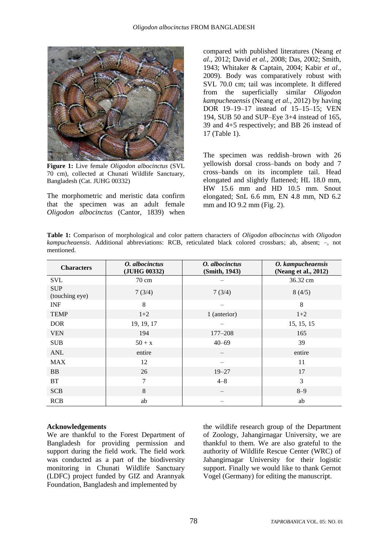

**Figure 1:** Live female *Oligodon albocinctus* (SVL 70 cm), collected at Chunati Wildlife Sanctuary, Bangladesh (Cat. JUHG 00332)

The morphometric and meristic data confirm that the specimen was an adult female *Oligodon albocinctus* (Cantor, 1839) when

compared with published literatures (Neang *et al*., 2012; David *et al.*, 2008; Das, 2002; Smith, 1943; Whitaker & Captain, 2004; Kabir *et al*., 2009). Body was comparatively robust with SVL 70.0 cm; tail was incomplete. It differed from the superficially similar *Oligodon kampucheaensis* (Neang *et al.*, 2012) by having DOR 19–19–17 instead of 15–15–15; VEN 194, SUB 50 and SUP–Eye 3+4 instead of 165, 39 and 4+5 respectively; and BB 26 instead of 17 (Table 1).

The specimen was reddish–brown with 26 yellowish dorsal cross–bands on body and 7 cross–bands on its incomplete tail. Head elongated and slightly flattened; HL 18.0 mm, HW 15.6 mm and HD 10.5 mm. Snout elongated; SnL 6.6 mm, EN 4.8 mm, ND 6.2 mm and IO 9.2 mm (Fig. 2).

| <b>Table 1:</b> Comparison of morphological and color pattern characters of <i>Oligodon albocinctus</i> with <i>Oligodon</i> |  |  |  |  |  |  |
|------------------------------------------------------------------------------------------------------------------------------|--|--|--|--|--|--|
| kampucheaensis. Additional abbreviations: RCB, reticulated black colored crossbars; ab, absent; -, not                       |  |  |  |  |  |  |
| mentioned.                                                                                                                   |  |  |  |  |  |  |

| <b>Characters</b>            | O. albocinctus<br>(JUHG 00332) | O. albocinctus<br>(Smith, 1943) | O. kampucheaensis<br>(Neang et al., 2012) |
|------------------------------|--------------------------------|---------------------------------|-------------------------------------------|
| <b>SVL</b>                   | $70 \text{ cm}$                |                                 | 36.32 cm                                  |
| <b>SUP</b><br>(touching eye) | 7(3/4)                         | 7(3/4)                          | 8(4/5)                                    |
| <b>INF</b>                   | 8                              |                                 | 8                                         |
| <b>TEMP</b>                  | $1+2$                          | 1 (anterior)                    | $1+2$                                     |
| <b>DOR</b>                   | 19, 19, 17                     |                                 | 15, 15, 15                                |
| <b>VEN</b>                   | 194                            | 177-208                         | 165                                       |
| <b>SUB</b>                   | $50 + x$                       | $40 - 69$                       | 39                                        |
| <b>ANL</b>                   | entire                         |                                 | entire                                    |
| <b>MAX</b>                   | 12                             |                                 | 11                                        |
| <b>BB</b>                    | 26                             | $19 - 27$                       | 17                                        |
| <b>BT</b>                    | 7                              | $4 - 8$                         | 3                                         |
| <b>SCB</b>                   | 8                              |                                 | $8 - 9$                                   |
| <b>RCB</b>                   | ab                             |                                 | ab                                        |

## **Acknowledgements**

We are thankful to the Forest Department of Bangladesh for providing permission and support during the field work. The field work was conducted as a part of the biodiversity monitoring in Chunati Wildlife Sanctuary (LDFC) project funded by GIZ and Arannyak Foundation, Bangladesh and implemented by

the wildlife research group of the Department of Zoology, Jahangirnagar University, we are thankful to them. We are also grateful to the authority of Wildlife Rescue Center (WRC) of Jahangirnagar University for their logistic support. Finally we would like to thank Gernot Vogel (Germany) for editing the manuscript.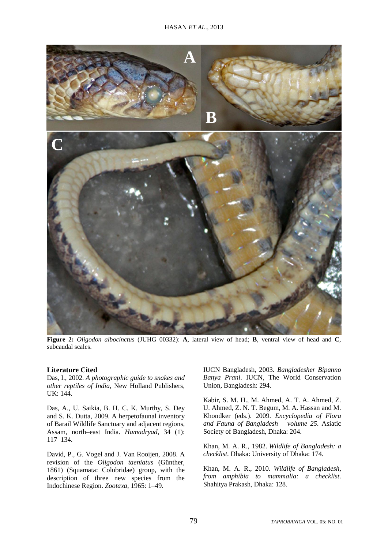

**Figure 2:** *Oligodon albocinctus* (JUHG 00332): **A**, lateral view of head; **B**, ventral view of head and **C**, subcaudal scales.

## **Literature Cited**

Das, I., 2002. *A photographic guide to snakes and other reptiles of India*, New Holland Publishers, UK: 144.

Das, A., U. Saikia, B. H. C. K. Murthy, S. Dey and S. K. Dutta, 2009. A herpetofaunal inventory of Barail Wildlife Sanctuary and adjacent regions, Assam, north–east India. *Hamadryad*, 34 (1): 117–134.

David, P., G. Vogel and J. Van Rooijen, 2008. A revision of the *Oligodon taeniatus* (Günther, 1861) (Squamata: Colubridae) group, with the description of three new species from the Indochinese Region. *Zootaxa*, 1965: 1–49.

IUCN Bangladesh, 2003. *Bangladesher Bipanno Banya Prani*. IUCN, The World Conservation Union, Bangladesh: 294.

Kabir, S. M. H., M. Ahmed, A. T. A. Ahmed, Z. U. Ahmed, Z. N. T. Begum, M. A. Hassan and M. Khondker (eds.). 2009. *Encyclopedia of Flora and Fauna of Bangladesh – volume 25*. Asiatic Society of Bangladesh, Dhaka: 204.

Khan, M. A. R., 1982. *Wildlife of Bangladesh: a checklist*. Dhaka: University of Dhaka: 174.

Khan, M. A. R., 2010. *Wildlife of Bangladesh, from amphibia to mammalia: a checklist*. Shahitya Prakash, Dhaka: 128.